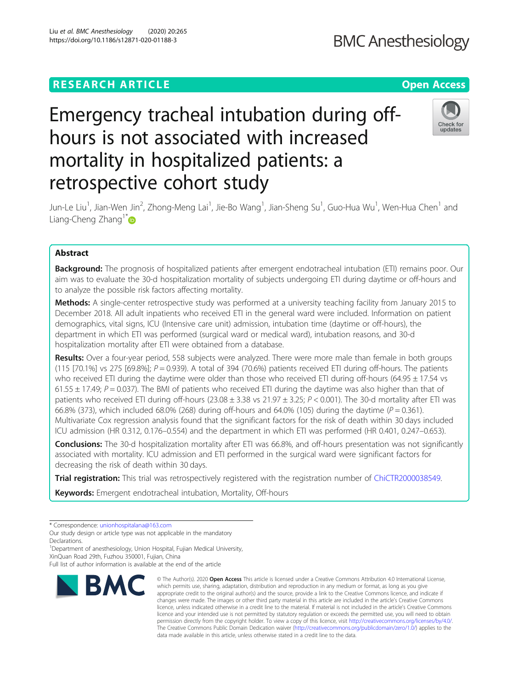# Liu et al. BMC Anesthesiology (2020) 20:265 https://doi.org/10.1186/s12871-020-01188-3

**BMC Anesthesiology** 

# Emergency tracheal intubation during offhours is not associated with increased mortality in hospitalized patients: a retrospective cohort study



Jun-Le Liu<sup>1</sup>, Jian-Wen Jin<sup>2</sup>, Zhong-Meng Lai<sup>1</sup>, Jie-Bo Wang<sup>1</sup>, Jian-Sheng Su<sup>1</sup>, Guo-Hua Wu<sup>1</sup>, Wen-Hua Chen<sup>1</sup> and Liang-Cheng Zhang<sup>1[\\*](http://orcid.org/0000-0002-4204-9107)</sup>

# Abstract

**Background:** The prognosis of hospitalized patients after emergent endotracheal intubation (ETI) remains poor. Our aim was to evaluate the 30-d hospitalization mortality of subjects undergoing ETI during daytime or off-hours and to analyze the possible risk factors affecting mortality.

Methods: A single-center retrospective study was performed at a university teaching facility from January 2015 to December 2018. All adult inpatients who received ETI in the general ward were included. Information on patient demographics, vital signs, ICU (Intensive care unit) admission, intubation time (daytime or off-hours), the department in which ETI was performed (surgical ward or medical ward), intubation reasons, and 30-d hospitalization mortality after ETI were obtained from a database.

Results: Over a four-year period, 558 subjects were analyzed. There were more male than female in both groups  $(115 \mid 70.1\%)$  vs 275 [69.8%];  $P = 0.939$ ). A total of 394 (70.6%) patients received ETI during off-hours. The patients who received ETI during the daytime were older than those who received ETI during off-hours (64.95  $\pm$  17.54 vs 61.55  $\pm$  17.49; P = 0.037). The BMI of patients who received ETI during the daytime was also higher than that of patients who received ETI during off-hours ( $23.08 \pm 3.38$  vs  $21.97 \pm 3.25$ ;  $P < 0.001$ ). The 30-d mortality after ETI was 66.8% (373), which included 68.0% (268) during off-hours and 64.0% (105) during the daytime  $(P = 0.361)$ . Multivariate Cox regression analysis found that the significant factors for the risk of death within 30 days included ICU admission (HR 0.312, 0.176–0.554) and the department in which ETI was performed (HR 0.401, 0.247–0.653).

**Conclusions:** The 30-d hospitalization mortality after ETI was 66.8%, and off-hours presentation was not significantly associated with mortality. ICU admission and ETI performed in the surgical ward were significant factors for decreasing the risk of death within 30 days.

Trial registration: This trial was retrospectively registered with the registration number of [ChiCTR2000038549.](http://www.chictr.org.cn)

Keywords: Emergent endotracheal intubation, Mortality, Off-hours

Our study design or article type was not applicable in the mandatory Declarations.

<sup>1</sup>Department of anesthesiology, Union Hospital, Fujian Medical University, XinQuan Road 29th, Fuzhou 350001, Fujian, China

Full list of author information is available at the end of the article



<sup>©</sup> The Author(s), 2020 **Open Access** This article is licensed under a Creative Commons Attribution 4.0 International License, which permits use, sharing, adaptation, distribution and reproduction in any medium or format, as long as you give appropriate credit to the original author(s) and the source, provide a link to the Creative Commons licence, and indicate if changes were made. The images or other third party material in this article are included in the article's Creative Commons licence, unless indicated otherwise in a credit line to the material. If material is not included in the article's Creative Commons licence and your intended use is not permitted by statutory regulation or exceeds the permitted use, you will need to obtain permission directly from the copyright holder. To view a copy of this licence, visit [http://creativecommons.org/licenses/by/4.0/.](http://creativecommons.org/licenses/by/4.0/) The Creative Commons Public Domain Dedication waiver [\(http://creativecommons.org/publicdomain/zero/1.0/](http://creativecommons.org/publicdomain/zero/1.0/)) applies to the data made available in this article, unless otherwise stated in a credit line to the data.

<sup>\*</sup> Correspondence: [unionhospitalana@163.com](mailto:unionhospitalana@163.com)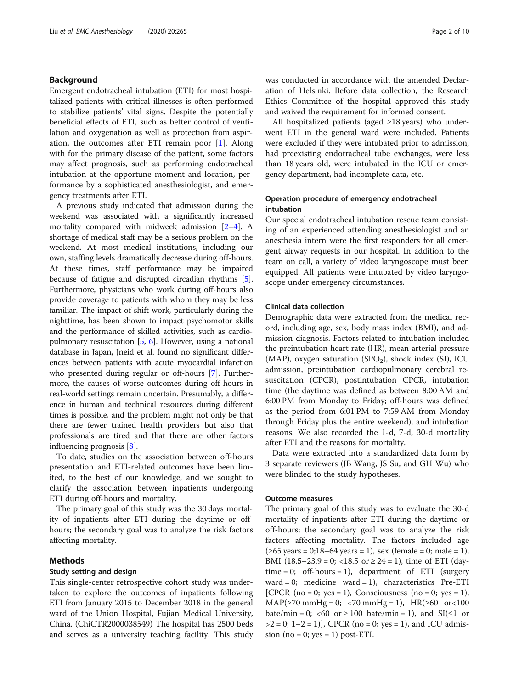# Background

Emergent endotracheal intubation (ETI) for most hospitalized patients with critical illnesses is often performed to stabilize patients' vital signs. Despite the potentially beneficial effects of ETI, such as better control of ventilation and oxygenation as well as protection from aspiration, the outcomes after ETI remain poor [[1\]](#page-8-0). Along with for the primary disease of the patient, some factors may affect prognosis, such as performing endotracheal intubation at the opportune moment and location, performance by a sophisticated anesthesiologist, and emergency treatments after ETI.

A previous study indicated that admission during the weekend was associated with a significantly increased mortality compared with midweek admission [\[2](#page-8-0)–[4\]](#page-8-0). A shortage of medical staff may be a serious problem on the weekend. At most medical institutions, including our own, staffing levels dramatically decrease during off-hours. At these times, staff performance may be impaired because of fatigue and disrupted circadian rhythms [[5](#page-8-0)]. Furthermore, physicians who work during off-hours also provide coverage to patients with whom they may be less familiar. The impact of shift work, particularly during the nighttime, has been shown to impact psychomotor skills and the performance of skilled activities, such as cardiopulmonary resuscitation [[5](#page-8-0), [6\]](#page-8-0). However, using a national database in Japan, Jneid et al. found no significant differences between patients with acute myocardial infarction who presented during regular or off-hours [\[7](#page-8-0)]. Furthermore, the causes of worse outcomes during off-hours in real-world settings remain uncertain. Presumably, a difference in human and technical resources during different times is possible, and the problem might not only be that there are fewer trained health providers but also that professionals are tired and that there are other factors influencing prognosis [\[8](#page-8-0)].

To date, studies on the association between off-hours presentation and ETI-related outcomes have been limited, to the best of our knowledge, and we sought to clarify the association between inpatients undergoing ETI during off-hours and mortality.

The primary goal of this study was the 30 days mortality of inpatients after ETI during the daytime or offhours; the secondary goal was to analyze the risk factors affecting mortality.

# Methods

#### Study setting and design

This single-center retrospective cohort study was undertaken to explore the outcomes of inpatients following ETI from January 2015 to December 2018 in the general ward of the Union Hospital, Fujian Medical University, China. (ChiCTR2000038549) The hospital has 2500 beds and serves as a university teaching facility. This study was conducted in accordance with the amended Declaration of Helsinki. Before data collection, the Research Ethics Committee of the hospital approved this study and waived the requirement for informed consent.

All hospitalized patients (aged ≥18 years) who underwent ETI in the general ward were included. Patients were excluded if they were intubated prior to admission, had preexisting endotracheal tube exchanges, were less than 18 years old, were intubated in the ICU or emergency department, had incomplete data, etc.

# Operation procedure of emergency endotracheal intubation

Our special endotracheal intubation rescue team consisting of an experienced attending anesthesiologist and an anesthesia intern were the first responders for all emergent airway requests in our hospital. In addition to the team on call, a variety of video laryngoscope must been equipped. All patients were intubated by video laryngoscope under emergency circumstances.

# Clinical data collection

Demographic data were extracted from the medical record, including age, sex, body mass index (BMI), and admission diagnosis. Factors related to intubation included the preintubation heart rate (HR), mean arterial pressure (MAP), oxygen saturation (SPO<sub>2</sub>), shock index (SI), ICU admission, preintubation cardiopulmonary cerebral resuscitation (CPCR), postintubation CPCR, intubation time (the daytime was defined as between 8:00 AM and 6:00 PM from Monday to Friday; off-hours was defined as the period from 6:01 PM to 7:59 AM from Monday through Friday plus the entire weekend), and intubation reasons. We also recorded the 1-d, 7-d, 30-d mortality after ETI and the reasons for mortality.

Data were extracted into a standardized data form by 3 separate reviewers (JB Wang, JS Su, and GH Wu) who were blinded to the study hypotheses.

# Outcome measures

The primary goal of this study was to evaluate the 30-d mortality of inpatients after ETI during the daytime or off-hours; the secondary goal was to analyze the risk factors affecting mortality. The factors included age (≥65 years = 0;18–64 years = 1), sex (female = 0; male = 1), BMI  $(18.5-23.9=0; 18.5 \text{ or } 24=1)$ , time of ETI  $\frac{day}{}$  $time = 0$ ; off-hours = 1), department of ETI (surgery ward = 0; medicine ward = 1), characteristics Pre-ETI [CPCR (no = 0; yes = 1), Consciousness (no = 0; yes = 1),  $MAP(≥70 mmHg = 0; <70 mmHg = 1)$ ,  $HR(≥60 or <100$ bate/min = 0; <60 or  $\geq$  100 bate/min = 1), and SI( $\leq$ 1 or  $>2 = 0$ ; 1–2 = 1)], CPCR (no = 0; yes = 1), and ICU admission (no = 0; yes = 1) post-ETI.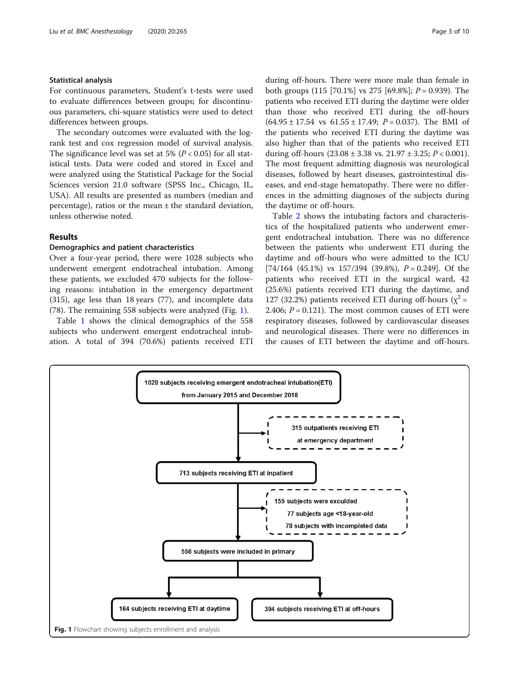# Statistical analysis

For continuous parameters, Student's t-tests were used to evaluate differences between groups; for discontinuous parameters, chi-square statistics were used to detect differences between groups.

The secondary outcomes were evaluated with the logrank test and cox regression model of survival analysis. The significance level was set at 5% ( $P < 0.05$ ) for all statistical tests. Data were coded and stored in Excel and were analyzed using the Statistical Package for the Social Sciences version 21.0 software (SPSS Inc., Chicago, IL, USA). All results are presented as numbers (median and percentage), ratios or the mean  $\pm$  the standard deviation, unless otherwise noted.

# Results

# Demographics and patient characteristics

Over a four-year period, there were 1028 subjects who underwent emergent endotracheal intubation. Among these patients, we excluded 470 subjects for the following reasons: intubation in the emergency department (315), age less than 18 years (77), and incomplete data (78). The remaining 558 subjects were analyzed (Fig. 1).

Table [1](#page-3-0) shows the clinical demographics of the 558 subjects who underwent emergent endotracheal intubation. A total of 394 (70.6%) patients received ETI

during off-hours. There were more male than female in both groups  $(115 \, [70.1\%] \text{ vs } 275 \, [69.8\%]; P = 0.939$ . The patients who received ETI during the daytime were older than those who received ETI during the off-hours  $(64.95 \pm 17.54 \text{ vs } 61.55 \pm 17.49; P = 0.037)$ . The BMI of the patients who received ETI during the daytime was also higher than that of the patients who received ETI during off-hours  $(23.08 \pm 3.38 \text{ vs. } 21.97 \pm 3.25; P < 0.001)$ . The most frequent admitting diagnosis was neurological diseases, followed by heart diseases, gastrointestinal diseases, and end-stage hematopathy. There were no differences in the admitting diagnoses of the subjects during the daytime or off-hours.

Table [2](#page-4-0) shows the intubating factors and characteristics of the hospitalized patients who underwent emergent endotracheal intubation. There was no difference between the patients who underwent ETI during the daytime and off-hours who were admitted to the ICU  $[74/164 (45.1\%)$  vs  $157/394 (39.8\%)$ ,  $P = 0.249$ . Of the patients who received ETI in the surgical ward, 42 (25.6%) patients received ETI during the daytime, and 127 (32.2%) patients received ETI during off-hours ( $\chi^2$  = 2.406;  $P = 0.121$ ). The most common causes of ETI were respiratory diseases, followed by cardiovascular diseases and neurological diseases. There were no differences in the causes of ETI between the daytime and off-hours.

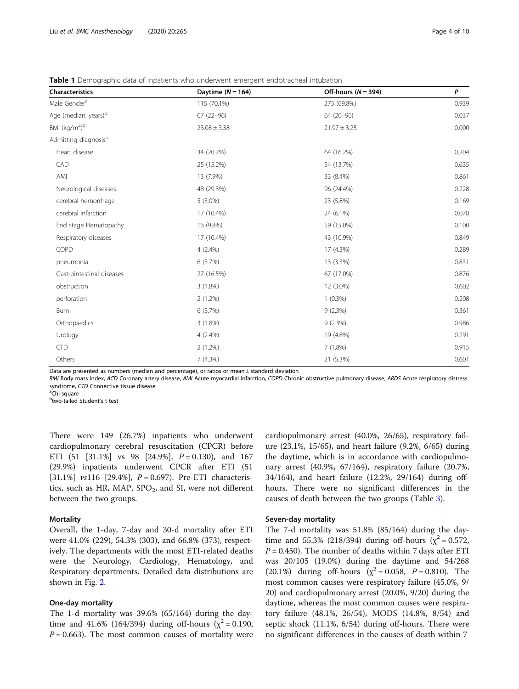| <b>Characteristics</b>                | Daytime $(N = 164)$ | Off-hours ( $N = 394$ ) | P     |
|---------------------------------------|---------------------|-------------------------|-------|
| Male Gender <sup>a</sup>              | 115 (70.1%)         | 275 (69.8%)             | 0.939 |
| Age (median, years) <sup>b</sup>      | $67(22 - 96)$       | 64 (20-96)              | 0.037 |
| BMI (kg/m <sup>2</sup> ) <sup>b</sup> | $23.08 \pm 3.38$    | $21.97 \pm 3.25$        | 0.000 |
| Admitting diagnosis <sup>a</sup>      |                     |                         |       |
| Heart disease                         | 34 (20.7%)          | 64 (16.2%)              | 0.204 |
| CAD                                   | 25 (15.2%)          | 54 (13.7%)              | 0.635 |
| AMI                                   | 13 (7.9%)           | 33 (8.4%)               | 0.861 |
| Neurological diseases                 | 48 (29.3%)          | 96 (24.4%)              | 0.228 |
| cerebral hemorrhage                   | $5(3.0\%)$          | 23 (5.8%)               | 0.169 |
| cerebral infarction                   | 17 (10.4%)          | 24 (6.1%)               | 0.078 |
| End stage Hematopathy                 | 16 (9.8%)           | 59 (15.0%)              | 0.100 |
| Respiratory diseases                  | 17 (10.4%)          | 43 (10.9%)              | 0.849 |
| COPD                                  | $4(2.4\%)$          | 17 (4.3%)               | 0.289 |
| pneumonia                             | 6(3.7%)             | 13 (3.3%)               | 0.831 |
| Gastrointestinal diseases             | 27 (16.5%)          | 67 (17.0%)              | 0.876 |
| obstruction                           | 3(1.8%)             | 12 (3.0%)               | 0.602 |
| perforation                           | 2(1.2%)             | $1(0.3\%)$              | 0.208 |
| Burn                                  | 6(3.7%)             | 9(2.3%)                 | 0.361 |
| Orthopaedics                          | 3(1.8%)             | 9(2.3%)                 | 0.986 |
| Urology                               | $4(2.4\%)$          | 19 (4.8%)               | 0.291 |
| CTD                                   | 2(1.2%)             | 7(1.8%)                 | 0.915 |
| Others                                | 7(4.3%)             | 21 (5.3%)               | 0.601 |

<span id="page-3-0"></span>Table 1 Demographic data of inpatients who underwent emergent endotracheal intubation

Data are presented as numbers (median and percentage), or ratios or mean ± standard deviation

BMI Body mass index, ACD Coronary artery disease, AMI Acute myocardial infarction, COPD Chronic obstructive pulmonary disease, ARDS Acute respiratory distress syndrome, CTD Connective tissue disease

<sup>a</sup>Chi-square

<sup>b</sup>two-tailed Student's t test

There were 149 (26.7%) inpatients who underwent cardiopulmonary cerebral resuscitation (CPCR) before ETI (51 [31.1%] vs 98 [24.9%],  $P = 0.130$ ), and 167 (29.9%) inpatients underwent CPCR after ETI (51 [31.1%] vs116 [29.4%],  $P = 0.697$ ). Pre-ETI characteristics, such as HR, MAP,  $SPO<sub>2</sub>$ , and SI, were not different between the two groups.

#### Mortality

Overall, the 1-day, 7-day and 30-d mortality after ETI were 41.0% (229), 54.3% (303), and 66.8% (373), respectively. The departments with the most ETI-related deaths were the Neurology, Cardiology, Hematology, and Respiratory departments. Detailed data distributions are shown in Fig. [2](#page-5-0).

# One-day mortality

The 1-d mortality was 39.6% (65/164) during the daytime and 41.6% (164/394) during off-hours ( $\chi^2$  = 0.190,  $P = 0.663$ . The most common causes of mortality were cardiopulmonary arrest (40.0%, 26/65), respiratory failure (23.1%, 15/65), and heart failure (9.2%, 6/65) during the daytime, which is in accordance with cardiopulmonary arrest (40.9%, 67/164), respiratory failure (20.7%, 34/164), and heart failure (12.2%, 29/164) during offhours. There were no significant differences in the causes of death between the two groups (Table [3](#page-6-0)).

# Seven-day mortality

The 7-d mortality was 51.8% (85/164) during the daytime and 55.3% (218/394) during off-hours ( $\chi^2$  = 0.572,  $P = 0.450$ ). The number of deaths within 7 days after ETI was 20/105 (19.0%) during the daytime and 54/268 (20.1%) during off-hours ( $\chi^2$  = 0.058, P = 0.810). The most common causes were respiratory failure (45.0%, 9/ 20) and cardiopulmonary arrest (20.0%, 9/20) during the daytime, whereas the most common causes were respiratory failure (48.1%, 26/54), MODS (14.8%, 8/54) and septic shock (11.1%, 6/54) during off-hours. There were no significant differences in the causes of death within 7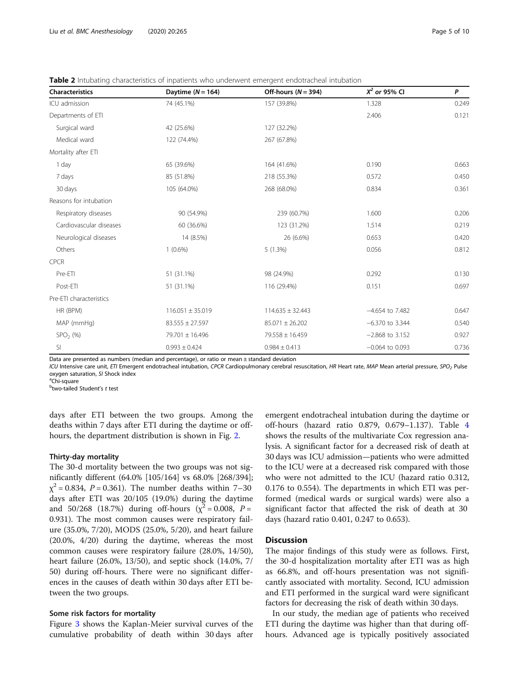<span id="page-4-0"></span>**Table 2** Intubating characteristics of inpatients who underwent emergent endotracheal intubation

| <b>Characteristics</b>  | Daytime $(N = 164)$  | Off-hours ( $N = 394$ ) | $X^2$ or 95% CI   | P     |
|-------------------------|----------------------|-------------------------|-------------------|-------|
| ICU admission           | 74 (45.1%)           | 157 (39.8%)             | 1.328             | 0.249 |
| Departments of ETI      |                      |                         | 2.406             | 0.121 |
| Surgical ward           | 42 (25.6%)           | 127 (32.2%)             |                   |       |
| Medical ward            | 122 (74.4%)          | 267 (67.8%)             |                   |       |
| Mortality after ETI     |                      |                         |                   |       |
| 1 day                   | 65 (39.6%)           | 164 (41.6%)             | 0.190             | 0.663 |
| 7 days                  | 85 (51.8%)           | 218 (55.3%)             | 0.572             | 0.450 |
| 30 days                 | 105 (64.0%)          | 268 (68.0%)             | 0.834             | 0.361 |
| Reasons for intubation  |                      |                         |                   |       |
| Respiratory diseases    | 90 (54.9%)           | 239 (60.7%)             | 1.600             | 0.206 |
| Cardiovascular diseases | 60 (36.6%)           | 123 (31.2%)             | 1.514             | 0.219 |
| Neurological diseases   | 14 (8.5%)            | 26 (6.6%)               | 0.653             | 0.420 |
| Others                  | $1(0.6\%)$           | 5(1.3%)                 | 0.056             | 0.812 |
| <b>CPCR</b>             |                      |                         |                   |       |
| Pre-ETI                 | 51 (31.1%)           | 98 (24.9%)              | 0.292             | 0.130 |
| Post-ETI                | 51 (31.1%)           | 116 (29.4%)             | 0.151             | 0.697 |
| Pre-ETI characteristics |                      |                         |                   |       |
| HR (BPM)                | $116.051 \pm 35.019$ | $114.635 \pm 32.443$    | $-4.654$ to 7.482 | 0.647 |
| MAP (mmHg)              | $83.555 \pm 27.597$  | $85.071 \pm 26.202$     | $-6.370$ to 3.344 | 0.540 |
| $SPO2$ (%)              | 79.701 ± 16.496      | 79.558 ± 16.459         | $-2.868$ to 3.152 | 0.927 |
| SI                      | $0.993 \pm 0.424$    | $0.984 \pm 0.413$       | $-0.064$ to 0.093 | 0.736 |

Data are presented as numbers (median and percentage), or ratio or mean  $\pm$  standard deviation

ICU Intensive care unit, ETI Emergent endotracheal intubation, CPCR Cardiopulmonary cerebral resuscitation, HR Heart rate, MAP Mean arterial pressure, SPO<sub>2</sub> Pulse oxygen saturation, SI Shock index

<sup>a</sup>Chi-square

<sup>b</sup>two-tailed Student's *t* test

days after ETI between the two groups. Among the deaths within 7 days after ETI during the daytime or offhours, the department distribution is shown in Fig. [2.](#page-5-0)

# Thirty-day mortality

The 30-d mortality between the two groups was not significantly different (64.0% [105/164] vs 68.0% [268/394];  $\chi^2$  = 0.834, P = 0.361). The number deaths within 7–30 days after ETI was 20/105 (19.0%) during the daytime and 50/268 (18.7%) during off-hours ( $\chi^2$  = 0.008, P = 0.931). The most common causes were respiratory failure (35.0%, 7/20), MODS (25.0%, 5/20), and heart failure (20.0%, 4/20) during the daytime, whereas the most common causes were respiratory failure (28.0%, 14/50), heart failure (26.0%, 13/50), and septic shock (14.0%, 7/ 50) during off-hours. There were no significant differences in the causes of death within 30 days after ETI between the two groups.

# Some risk factors for mortality

Figure [3](#page-6-0) shows the Kaplan-Meier survival curves of the cumulative probability of death within 30 days after

emergent endotracheal intubation during the daytime or off-hours (hazard ratio 0.879, 0.679–1.137). Table [4](#page-7-0) shows the results of the multivariate Cox regression analysis. A significant factor for a decreased risk of death at 30 days was ICU admission—patients who were admitted to the ICU were at a decreased risk compared with those who were not admitted to the ICU (hazard ratio 0.312, 0.176 to 0.554). The departments in which ETI was performed (medical wards or surgical wards) were also a significant factor that affected the risk of death at 30 days (hazard ratio 0.401, 0.247 to 0.653).

# **Discussion**

The major findings of this study were as follows. First, the 30-d hospitalization mortality after ETI was as high as 66.8%, and off-hours presentation was not significantly associated with mortality. Second, ICU admission and ETI performed in the surgical ward were significant factors for decreasing the risk of death within 30 days.

In our study, the median age of patients who received ETI during the daytime was higher than that during offhours. Advanced age is typically positively associated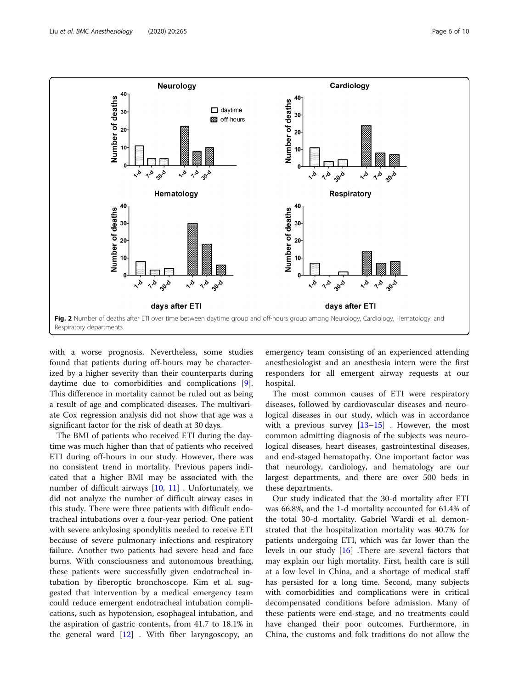<span id="page-5-0"></span>

with a worse prognosis. Nevertheless, some studies found that patients during off-hours may be characterized by a higher severity than their counterparts during daytime due to comorbidities and complications [\[9](#page-8-0)]. This difference in mortality cannot be ruled out as being a result of age and complicated diseases. The multivariate Cox regression analysis did not show that age was a significant factor for the risk of death at 30 days.

The BMI of patients who received ETI during the daytime was much higher than that of patients who received ETI during off-hours in our study. However, there was no consistent trend in mortality. Previous papers indicated that a higher BMI may be associated with the number of difficult airways [\[10](#page-8-0), [11\]](#page-8-0) . Unfortunately, we did not analyze the number of difficult airway cases in this study. There were three patients with difficult endotracheal intubations over a four-year period. One patient with severe ankylosing spondylitis needed to receive ETI because of severe pulmonary infections and respiratory failure. Another two patients had severe head and face burns. With consciousness and autonomous breathing, these patients were successfully given endotracheal intubation by fiberoptic bronchoscope. Kim et al. suggested that intervention by a medical emergency team could reduce emergent endotracheal intubation complications, such as hypotension, esophageal intubation, and the aspiration of gastric contents, from 41.7 to 18.1% in the general ward  $[12]$  $[12]$  $[12]$ . With fiber laryngoscopy, an emergency team consisting of an experienced attending anesthesiologist and an anesthesia intern were the first responders for all emergent airway requests at our hospital.

The most common causes of ETI were respiratory diseases, followed by cardiovascular diseases and neurological diseases in our study, which was in accordance with a previous survey  $[13-15]$  $[13-15]$  $[13-15]$ . However, the most common admitting diagnosis of the subjects was neurological diseases, heart diseases, gastrointestinal diseases, and end-staged hematopathy. One important factor was that neurology, cardiology, and hematology are our largest departments, and there are over 500 beds in these departments.

Our study indicated that the 30-d mortality after ETI was 66.8%, and the 1-d mortality accounted for 61.4% of the total 30-d mortality. Gabriel Wardi et al. demonstrated that the hospitalization mortality was 40.7% for patients undergoing ETI, which was far lower than the levels in our study [\[16](#page-8-0)] .There are several factors that may explain our high mortality. First, health care is still at a low level in China, and a shortage of medical staff has persisted for a long time. Second, many subjects with comorbidities and complications were in critical decompensated conditions before admission. Many of these patients were end-stage, and no treatments could have changed their poor outcomes. Furthermore, in China, the customs and folk traditions do not allow the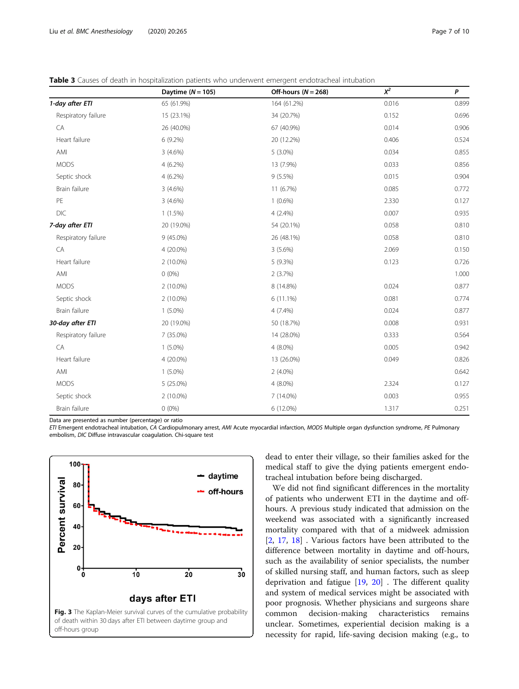<span id="page-6-0"></span>Table 3 Causes of death in hospitalization patients who underwent emergent endotracheal intubation

|                     | Daytime $(N = 105)$ | Off-hours $(N = 268)$ | $\chi^2$ | P     |
|---------------------|---------------------|-----------------------|----------|-------|
| 1-day after ETI     | 65 (61.9%)          | 164 (61.2%)           | 0.016    | 0.899 |
| Respiratory failure | 15 (23.1%)          | 34 (20.7%)            | 0.152    | 0.696 |
| CA                  | 26 (40.0%)          | 67 (40.9%)            | 0.014    | 0.906 |
| Heart failure       | 6 (9.2%)            | 20 (12.2%)            | 0.406    | 0.524 |
| AMI                 | $3(4.6\%)$          | $5(3.0\%)$            | 0.034    | 0.855 |
| <b>MODS</b>         | $4(6.2\%)$          | 13 (7.9%)             | 0.033    | 0.856 |
| Septic shock        | $4(6.2\%)$          | $9(5.5\%)$            | 0.015    | 0.904 |
| Brain failure       | $3(4.6\%)$          | 11 (6.7%)             | 0.085    | 0.772 |
| PE                  | $3(4.6\%)$          | $1(0.6\%)$            | 2.330    | 0.127 |
| DIC                 | $1(1.5\%)$          | $4(2.4\%)$            | 0.007    | 0.935 |
| 7-day after ETI     | 20 (19.0%)          | 54 (20.1%)            | 0.058    | 0.810 |
| Respiratory failure | $9(45.0\%)$         | 26 (48.1%)            | 0.058    | 0.810 |
| CA                  | 4 (20.0%)           | $3(5.6\%)$            | 2.069    | 0.150 |
| Heart failure       | $2(10.0\%)$         | 5 (9.3%)              | 0.123    | 0.726 |
| AMI                 | $0(0\%)$            | 2(3.7%)               |          | 1.000 |
| <b>MODS</b>         | 2 (10.0%)           | 8 (14.8%)             | 0.024    | 0.877 |
| Septic shock        | $2(10.0\%)$         | $6(11.1\%)$           | 0.081    | 0.774 |
| Brain failure       | $1(5.0\%)$          | $4(7.4\%)$            | 0.024    | 0.877 |
| 30-day after ETI    | 20 (19.0%)          | 50 (18.7%)            | 0.008    | 0.931 |
| Respiratory failure | 7 (35.0%)           | 14 (28.0%)            | 0.333    | 0.564 |
| CA                  | $1(5.0\%)$          | 4 (8.0%)              | 0.005    | 0.942 |
| Heart failure       | 4 (20.0%)           | 13 (26.0%)            | 0.049    | 0.826 |
| AMI                 | $1(5.0\%)$          | $2(4.0\%)$            |          | 0.642 |
| <b>MODS</b>         | 5 (25.0%)           | 4 (8.0%)              | 2.324    | 0.127 |
| Septic shock        | 2 (10.0%)           | 7 (14.0%)             | 0.003    | 0.955 |
| Brain failure       | $0(0\%)$            | 6 (12.0%)             | 1.317    | 0.251 |

Data are presented as number (percentage) or ratio

ETI Emergent endotracheal intubation, CA Cardiopulmonary arrest, AMI Acute myocardial infarction, MODS Multiple organ dysfunction syndrome, PE Pulmonary embolism, DIC Diffuse intravascular coagulation. Chi-square test



dead to enter their village, so their families asked for the medical staff to give the dying patients emergent endotracheal intubation before being discharged.

We did not find significant differences in the mortality of patients who underwent ETI in the daytime and offhours. A previous study indicated that admission on the weekend was associated with a significantly increased mortality compared with that of a midweek admission [[2,](#page-8-0) [17,](#page-8-0) [18](#page-8-0)] . Various factors have been attributed to the difference between mortality in daytime and off-hours, such as the availability of senior specialists, the number of skilled nursing staff, and human factors, such as sleep deprivation and fatigue [\[19](#page-8-0), [20\]](#page-8-0) . The different quality and system of medical services might be associated with poor prognosis. Whether physicians and surgeons share common decision-making characteristics remains unclear. Sometimes, experiential decision making is a necessity for rapid, life-saving decision making (e.g., to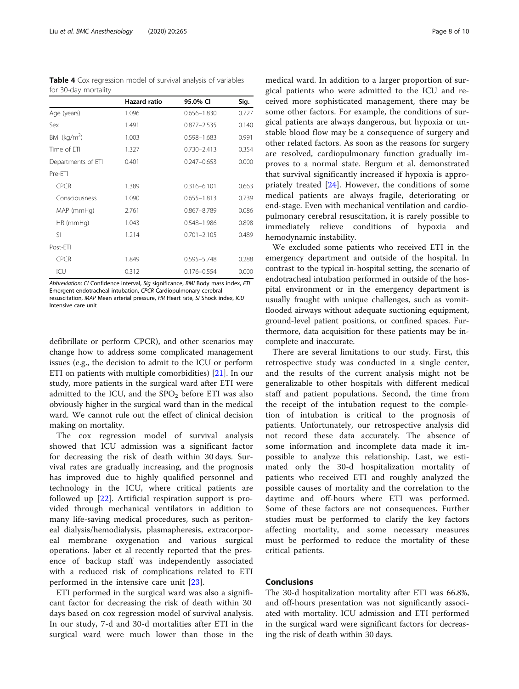<span id="page-7-0"></span>Table 4 Cox regression model of survival analysis of variables for 30-day mortality

|                    | <b>Hazard ratio</b> | 95.0% CI        | Sig.  |
|--------------------|---------------------|-----------------|-------|
| Age (years)        | 1.096               | 0.656-1.830     | 0.727 |
| Sex                | 1.491               | $0.877 - 2.535$ | 0.140 |
| BMI ( $kg/m2$ )    | 1.003               | 0.598-1.683     | 0.991 |
| Time of FTI        | 1.327               | $0.730 - 2.413$ | 0.354 |
| Departments of ETI | 0.401               | $0.247 - 0.653$ | 0.000 |
| Pre-FTI            |                     |                 |       |
| <b>CPCR</b>        | 1.389               | $0.316 - 6.101$ | 0.663 |
| Consciousness      | 1.090               | $0.655 - 1.813$ | 0.739 |
| MAP (mmHg)         | 2.761               | $0.867 - 8.789$ | 0.086 |
| $HR$ (mm $Hq$ )    | 1.043               | 0.548-1.986     | 0.898 |
| SI.                | 1.214               | $0.701 - 2.105$ | 0.489 |
| Post-ETI           |                     |                 |       |
| <b>CPCR</b>        | 1.849               | 0.595-5.748     | 0.288 |
| ICU                | 0.312               | 0.176-0.554     | 0.000 |

Abbreviation: CI Confidence interval, Sig significance, BMI Body mass index, ETI Emergent endotracheal intubation, CPCR Cardiopulmonary cerebral resuscitation, MAP Mean arterial pressure, HR Heart rate, SI Shock index, ICU Intensive care unit

defibrillate or perform CPCR), and other scenarios may change how to address some complicated management issues (e.g., the decision to admit to the ICU or perform ETI on patients with multiple comorbidities) [[21](#page-8-0)]. In our study, more patients in the surgical ward after ETI were admitted to the ICU, and the  $SPO<sub>2</sub>$  before ETI was also obviously higher in the surgical ward than in the medical ward. We cannot rule out the effect of clinical decision making on mortality.

The cox regression model of survival analysis showed that ICU admission was a significant factor for decreasing the risk of death within 30 days. Survival rates are gradually increasing, and the prognosis has improved due to highly qualified personnel and technology in the ICU, where critical patients are followed up [[22\]](#page-9-0). Artificial respiration support is provided through mechanical ventilators in addition to many life-saving medical procedures, such as peritoneal dialysis/hemodialysis, plasmapheresis, extracorporeal membrane oxygenation and various surgical operations. Jaber et al recently reported that the presence of backup staff was independently associated with a reduced risk of complications related to ETI performed in the intensive care unit [\[23](#page-9-0)].

ETI performed in the surgical ward was also a significant factor for decreasing the risk of death within 30 days based on cox regression model of survival analysis. In our study, 7-d and 30-d mortalities after ETI in the surgical ward were much lower than those in the

medical ward. In addition to a larger proportion of surgical patients who were admitted to the ICU and received more sophisticated management, there may be some other factors. For example, the conditions of surgical patients are always dangerous, but hypoxia or unstable blood flow may be a consequence of surgery and other related factors. As soon as the reasons for surgery are resolved, cardiopulmonary function gradually improves to a normal state. Bergum et al. demonstrated that survival significantly increased if hypoxia is appropriately treated [\[24](#page-9-0)]. However, the conditions of some medical patients are always fragile, deteriorating or end-stage. Even with mechanical ventilation and cardiopulmonary cerebral resuscitation, it is rarely possible to immediately relieve conditions of hypoxia and hemodynamic instability.

We excluded some patients who received ETI in the emergency department and outside of the hospital. In contrast to the typical in-hospital setting, the scenario of endotracheal intubation performed in outside of the hospital environment or in the emergency department is usually fraught with unique challenges, such as vomitflooded airways without adequate suctioning equipment, ground-level patient positions, or confined spaces. Furthermore, data acquisition for these patients may be incomplete and inaccurate.

There are several limitations to our study. First, this retrospective study was conducted in a single center, and the results of the current analysis might not be generalizable to other hospitals with different medical staff and patient populations. Second, the time from the receipt of the intubation request to the completion of intubation is critical to the prognosis of patients. Unfortunately, our retrospective analysis did not record these data accurately. The absence of some information and incomplete data made it impossible to analyze this relationship. Last, we estimated only the 30-d hospitalization mortality of patients who received ETI and roughly analyzed the possible causes of mortality and the correlation to the daytime and off-hours where ETI was performed. Some of these factors are not consequences. Further studies must be performed to clarify the key factors affecting mortality, and some necessary measures must be performed to reduce the mortality of these critical patients.

# Conclusions

The 30-d hospitalization mortality after ETI was 66.8%, and off-hours presentation was not significantly associated with mortality. ICU admission and ETI performed in the surgical ward were significant factors for decreasing the risk of death within 30 days.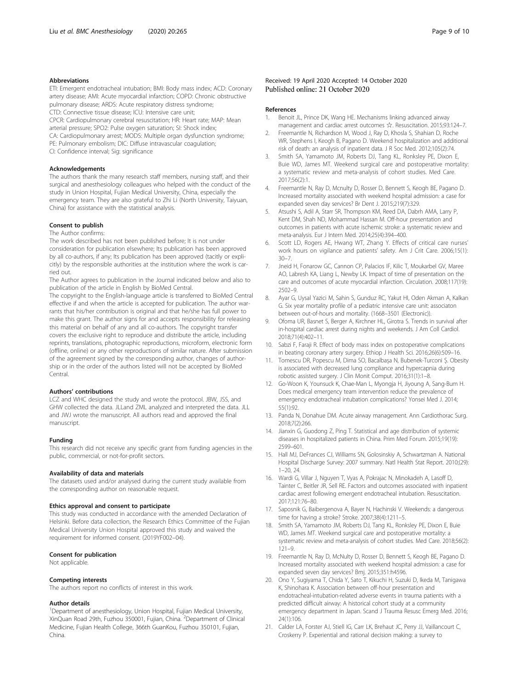#### <span id="page-8-0"></span>Abbreviations

ETI: Emergent endotracheal intubation; BMI: Body mass index; ACD: Coronary artery disease; AMI: Acute myocardial infarction; COPD: Chronic obstructive pulmonary disease; ARDS: Acute respiratory distress syndrome; CTD: Connective tissue disease; ICU: Intensive care unit; CPCR: Cardiopulmonary cerebral resuscitation; HR: Heart rate; MAP: Mean arterial pressure; SPO2: Pulse oxygen saturation; SI: Shock index; CA: Cardiopulmonary arrest; MODS: Multiple organ dysfunction syndrome; PE: Pulmonary embolism; DIC: Diffuse intravascular coagulation; CI: Confidence interval; Sig: significance

#### Acknowledgements

The authors thank the many research staff members, nursing staff, and their surgical and anesthesiology colleagues who helped with the conduct of the study in Union Hospital, Fujian Medical University, China, especially the emergency team. They are also grateful to Zhi Li (North University, Taiyuan, China) for assistance with the statistical analysis.

#### Consent to publish

The Author confirms:

The work described has not been published before; It is not under consideration for publication elsewhere; Its publication has been approved by all co-authors, if any; Its publication has been approved (tacitly or explicitly) by the responsible authorities at the institution where the work is carried out.

The Author agrees to publication in the Journal indicated below and also to publication of the article in English by BioMed Central.

The copyright to the English-language article is transferred to BioMed Central effective if and when the article is accepted for publication. The author warrants that his/her contribution is original and that he/she has full power to make this grant. The author signs for and accepts responsibility for releasing this material on behalf of any and all co-authors. The copyright transfer covers the exclusive right to reproduce and distribute the article, including reprints, translations, photographic reproductions, microform, electronic form (offline, online) or any other reproductions of similar nature. After submission of the agreement signed by the corresponding author, changes of authorship or in the order of the authors listed will not be accepted by BioMed Central.

#### Authors' contributions

LCZ and WHC designed the study and wrote the protocol. JBW, JSS, and GHW collected the data. JLLand ZML analyzed and interpreted the data. JLL and JWJ wrote the manuscript. All authors read and approved the final manuscript.

#### Funding

This research did not receive any specific grant from funding agencies in the public, commercial, or not-for-profit sectors.

#### Availability of data and materials

The datasets used and/or analysed during the current study available from the corresponding author on reasonable request.

#### Ethics approval and consent to participate

This study was conducted in accordance with the amended Declaration of Helsinki. Before data collection, the Research Ethics Committee of the Fujian Medical University Union Hospital approved this study and waived the requirement for informed consent. (2019YF002–04).

#### Consent for publication

Not applicable.

#### Competing interests

The authors report no conflicts of interest in this work.

#### Author details

<sup>1</sup>Department of anesthesiology, Union Hospital, Fujian Medical University, XinQuan Road 29th, Fuzhou 350001, Fujian, China. <sup>2</sup> Department of Clinical Medicine, Fujian Health College, 366th GuanKou, Fuzhou 350101, Fujian, China.

#### Received: 19 April 2020 Accepted: 14 October 2020 Published online: 21 October 2020

#### References

- 1. Benoit JL, Prince DK, Wang HE. Mechanisms linking advanced airway management and cardiac arrest outcomes ☆. Resuscitation. 2015;93:124–7.
- 2. Freemantle N, Richardson M, Wood J, Ray D, Khosla S, Shahian D, Roche WR, Stephens I, Keogh B, Pagano D. Weekend hospitalization and additional risk of death: an analysis of inpatient data. J R Soc Med. 2012;105(2):74.
- 3. Smith SA, Yamamoto JM, Roberts DJ, Tang KL, Ronksley PE, Dixon E, Buie WD, James MT. Weekend surgical care and postoperative mortality: a systematic review and meta-analysis of cohort studies. Med Care. 2017;56(2):1.
- 4. Freemantle N, Ray D, Mcnulty D, Rosser D, Bennett S, Keogh BE, Pagano D. Increased mortality associated with weekend hospital admission: a case for expanded seven day services? Br Dent J. 2015;219(7):329.
- 5. Atsushi S, Adil A, Starr SR, Thompson KM, Reed DA, Dabrh AMA, Larry P, Kent DM, Shah ND, Mohammad Hassan M. Off-hour presentation and outcomes in patients with acute ischemic stroke: a systematic review and meta-analysis. Eur J Intern Med. 2014;25(4):394–400.
- Scott LD, Rogers AE, Hwang WT, Zhang Y. Effects of critical care nurses' work hours on vigilance and patients' safety. Am J Crit Care. 2006;15(1):  $30 - 7$
- 7. Jneid H, Fonarow GC, Cannon CP, Palacios IF, Kilic T, Moukarbel GV, Maree AO, Labresh KA, Liang L, Newby LK. Impact of time of presentation on the care and outcomes of acute myocardial infarction. Circulation. 2008;117(19): 2502–9.
- 8. Ayar G, Uysal Yazici M, Sahin S, Gunduz RC, Yakut HI, Oden Akman A, Kalkan G. Six year mortality profile of a pediatric intensive care unit: associaton between out-of-hours and mortality. (1668–3501 (Electronic)).
- Ofoma UR, Basnet S, Berger A, Kirchner HL, Girotra S. Trends in survival after in-hospital cardiac arrest during nights and weekends. J Am Coll Cardiol. 2018;71(4):402–11.
- 10. Sabzi F, Faraji R. Effect of body mass index on postoperative complications in beating coronary artery surgery. Ethiop J Health Sci. 2016;26(6):509–16.
- 11. Tomescu DR, Popescu M, Dima SO, Bacalbașa N, Bubenek-Turconi Ș. Obesity is associated with decreased lung compliance and hypercapnia during robotic assisted surgery. J Clin Monit Comput. 2016;31(1):1–8.
- 12. Go-Woon K, Younsuck K, Chae-Man L, Myongja H, Jiyoung A, Sang-Bum H. Does medical emergency team intervention reduce the prevalence of emergency endotracheal intubation complications? Yonsei Med J. 2014; 55(1):92.
- 13. Panda N, Donahue DM. Acute airway management. Ann Cardiothorac Surg. 2018;7(2):266.
- 14. Jianxin G, Guodong Z, Ping T. Statistical and age distribution of systemic diseases in hospitalized patients in China. Prim Med Forum. 2015;19(19): 2599–601.
- 15. Hall MJ, DeFrances CJ, Williams SN, Golosinskiy A, Schwartzman A. National Hospital Discharge Survey: 2007 summary. Natl Health Stat Report. 2010;(29): 1–20, 24.
- 16. Wardi G, Villar J, Nguyen T, Vyas A, Pokrajac N, Minokadeh A, Lasoff D, Tainter C, Beitler JR, Sell RE. Factors and outcomes associated with inpatient cardiac arrest following emergent endotracheal intubation. Resuscitation. 2017;121:76–80.
- 17. Saposnik G, Baibergenova A, Bayer N, Hachinski V. Weekends: a dangerous time for having a stroke? Stroke. 2007;38(4):1211–5.
- 18. Smith SA, Yamamoto JM, Roberts DJ, Tang KL, Ronksley PE, Dixon E, Buie WD, James MT. Weekend surgical care and postoperative mortality: a systematic review and meta-analysis of cohort studies. Med Care. 2018;56(2): 121–9.
- 19. Freemantle N, Ray D, McNulty D, Rosser D, Bennett S, Keogh BE, Pagano D. Increased mortality associated with weekend hospital admission: a case for expanded seven day services? Bmj. 2015;351:h4596.
- 20. Ono Y, Sugiyama T, Chida Y, Sato T, Kikuchi H, Suzuki D, Ikeda M, Tanigawa K, Shinohara K. Association between off-hour presentation and endotracheal-intubation-related adverse events in trauma patients with a predicted difficult airway: A historical cohort study at a community emergency department in Japan. Scand J Trauma Resusc Emerg Med. 2016; 24(1):106.
- 21. Calder LA, Forster AJ, Stiell IG, Carr LK, Brehaut JC, Perry JJ, Vaillancourt C, Croskerry P. Experiential and rational decision making: a survey to